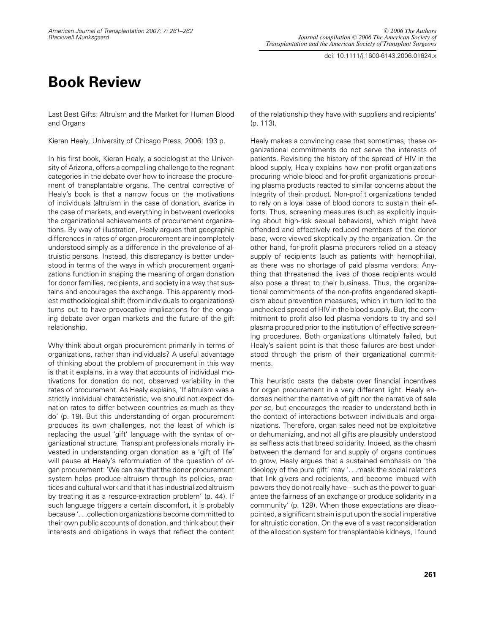doi: 10.1111/j.1600-6143.2006.01624.x

## **Book Review**

Last Best Gifts: Altruism and the Market for Human Blood and Organs

Kieran Healy, University of Chicago Press, 2006; 193 p.

In his first book, Kieran Healy, a sociologist at the University of Arizona, offers a compelling challenge to the regnant categories in the debate over how to increase the procurement of transplantable organs. The central corrective of Healy's book is that a narrow focus on the motivations of individuals (altruism in the case of donation, avarice in the case of markets, and everything in between) overlooks the organizational achievements of procurement organizations. By way of illustration, Healy argues that geographic differences in rates of organ procurement are incompletely understood simply as a difference in the prevalence of altruistic persons. Instead, this discrepancy is better understood in terms of the ways in which procurement organizations function in shaping the meaning of organ donation for donor families, recipients, and society in a way that sustains and encourages the exchange. This apparently modest methodological shift (from individuals to organizations) turns out to have provocative implications for the ongoing debate over organ markets and the future of the gift relationship.

Why think about organ procurement primarily in terms of organizations, rather than individuals? A useful advantage of thinking about the problem of procurement in this way is that it explains, in a way that accounts of individual motivations for donation do not, observed variability in the rates of procurement. As Healy explains, 'If altruism was a strictly individual characteristic, we should not expect donation rates to differ between countries as much as they do' (p. 19). But this understanding of organ procurement produces its own challenges, not the least of which is replacing the usual 'gift' language with the syntax of organizational structure. Transplant professionals morally invested in understanding organ donation as a 'gift of life' will pause at Healy's reformulation of the question of organ procurement: 'We can say that the donor procurement system helps produce altruism through its policies, practices and cultural work and that it has industrialized altruism by treating it as a resource-extraction problem' (p. 44). If such language triggers a certain discomfort, it is probably because '. . .collection organizations become committed to their own public accounts of donation, and think about their interests and obligations in ways that reflect the content of the relationship they have with suppliers and recipients' (p. 113).

Healy makes a convincing case that sometimes, these organizational commitments do not serve the interests of patients. Revisiting the history of the spread of HIV in the blood supply, Healy explains how non-profit organizations procuring whole blood and for-profit organizations procuring plasma products reacted to similar concerns about the integrity of their product. Non-profit organizations tended to rely on a loyal base of blood donors to sustain their efforts. Thus, screening measures (such as explicitly inquiring about high-risk sexual behaviors), which might have offended and effectively reduced members of the donor base, were viewed skeptically by the organization. On the other hand, for-profit plasma procurers relied on a steady supply of recipients (such as patients with hemophilia), as there was no shortage of paid plasma vendors. Anything that threatened the lives of those recipients would also pose a threat to their business. Thus, the organizational commitments of the non-profits engendered skepticism about prevention measures, which in turn led to the unchecked spread of HIV in the blood supply. But, the commitment to profit also led plasma vendors to try and sell plasma procured prior to the institution of effective screening procedures. Both organizations ultimately failed, but Healy's salient point is that these failures are best understood through the prism of their organizational commitments.

This heuristic casts the debate over financial incentives for organ procurement in a very different light. Healy endorses neither the narrative of gift nor the narrative of sale per se, but encourages the reader to understand both in the context of interactions between individuals and organizations. Therefore, organ sales need not be exploitative or dehumanizing, and not all gifts are plausibly understood as selfless acts that breed solidarity. Indeed, as the chasm between the demand for and supply of organs continues to grow, Healy argues that a sustained emphasis on 'the ideology of the pure gift' may '... mask the social relations that link givers and recipients, and become imbued with powers they do not really have – such as the power to guarantee the fairness of an exchange or produce solidarity in a community' (p. 129). When those expectations are disappointed, a significant strain is put upon the social imperative for altruistic donation. On the eve of a vast reconsideration of the allocation system for transplantable kidneys, I found